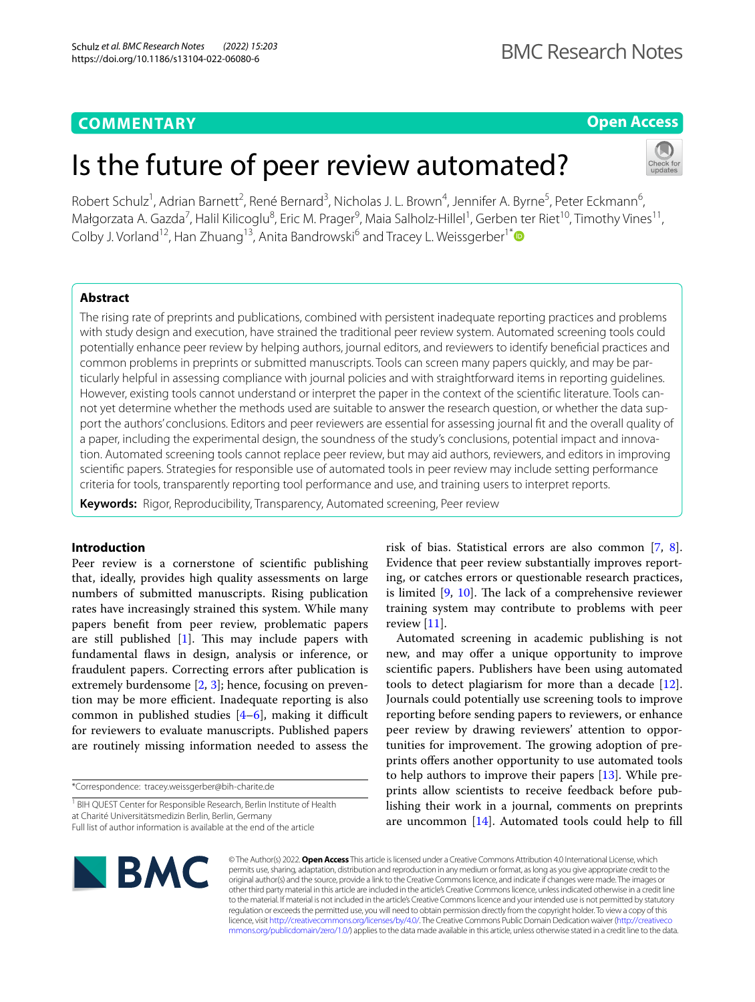# **COMMENTARY**

## **Open Access**

# Is the future of peer review automated?

Robert Schulz<sup>1</sup>, Adrian Barnett<sup>2</sup>, René Bernard<sup>3</sup>, Nicholas J. L. Brown<sup>4</sup>, Jennifer A. Byrne<sup>5</sup>, Peter Eckmann<sup>6</sup>, Małgorzata A. Gazda<sup>7</sup>, Halil Kilicoglu<sup>8</sup>, Eric M. Prager<sup>9</sup>, Maia Salholz-Hillel<sup>1</sup>, Gerben ter Riet<sup>10</sup>, Timothy Vines<sup>11</sup>, Colby J. Vorland<sup>12</sup>, Han Zhuang<sup>13</sup>, Anita Bandrowski<sup>6</sup> and Tracey L. Weissgerber<sup>1\*</sup>

## **Abstract**

The rising rate of preprints and publications, combined with persistent inadequate reporting practices and problems with study design and execution, have strained the traditional peer review system. Automated screening tools could potentially enhance peer review by helping authors, journal editors, and reviewers to identify benefcial practices and common problems in preprints or submitted manuscripts. Tools can screen many papers quickly, and may be particularly helpful in assessing compliance with journal policies and with straightforward items in reporting guidelines. However, existing tools cannot understand or interpret the paper in the context of the scientific literature. Tools cannot yet determine whether the methods used are suitable to answer the research question, or whether the data support the authors' conclusions. Editors and peer reviewers are essential for assessing journal ft and the overall quality of a paper, including the experimental design, the soundness of the study's conclusions, potential impact and innovation. Automated screening tools cannot replace peer review, but may aid authors, reviewers, and editors in improving scientifc papers. Strategies for responsible use of automated tools in peer review may include setting performance criteria for tools, transparently reporting tool performance and use, and training users to interpret reports.

**Keywords:** Rigor, Reproducibility, Transparency, Automated screening, Peer review

## **Introduction**

Peer review is a cornerstone of scientifc publishing that, ideally, provides high quality assessments on large numbers of submitted manuscripts. Rising publication rates have increasingly strained this system. While many papers beneft from peer review, problematic papers are still published  $[1]$  $[1]$ . This may include papers with fundamental faws in design, analysis or inference, or fraudulent papers. Correcting errors after publication is extremely burdensome [\[2](#page-4-1), [3](#page-4-2)]; hence, focusing on prevention may be more efficient. Inadequate reporting is also common in published studies  $[4-6]$  $[4-6]$ , making it difficult for reviewers to evaluate manuscripts. Published papers are routinely missing information needed to assess the

\*Correspondence: tracey.weissgerber@bih-charite.de

<sup>1</sup> BIH QUEST Center for Responsible Research, Berlin Institute of Health at Charité Universitätsmedizin Berlin, Berlin, Germany Full list of author information is available at the end of the article

risk of bias. Statistical errors are also common [\[7](#page-4-5), [8](#page-4-6)]. Evidence that peer review substantially improves reporting, or catches errors or questionable research practices, is limited  $[9, 10]$  $[9, 10]$  $[9, 10]$ . The lack of a comprehensive reviewer training system may contribute to problems with peer review  $[11]$  $[11]$ .

Automated screening in academic publishing is not new, and may offer a unique opportunity to improve scientifc papers. Publishers have been using automated tools to detect plagiarism for more than a decade [\[12](#page-4-10)]. Journals could potentially use screening tools to improve reporting before sending papers to reviewers, or enhance peer review by drawing reviewers' attention to opportunities for improvement. The growing adoption of preprints offers another opportunity to use automated tools to help authors to improve their papers [\[13\]](#page-4-11). While preprints allow scientists to receive feedback before publishing their work in a journal, comments on preprints are uncommon [\[14](#page-4-12)]. Automated tools could help to fll



© The Author(s) 2022. **Open Access** This article is licensed under a Creative Commons Attribution 4.0 International License, which permits use, sharing, adaptation, distribution and reproduction in any medium or format, as long as you give appropriate credit to the original author(s) and the source, provide a link to the Creative Commons licence, and indicate if changes were made. The images or other third party material in this article are included in the article's Creative Commons licence, unless indicated otherwise in a credit line to the material. If material is not included in the article's Creative Commons licence and your intended use is not permitted by statutory regulation or exceeds the permitted use, you will need to obtain permission directly from the copyright holder. To view a copy of this licence, visit [http://creativecommons.org/licenses/by/4.0/.](http://creativecommons.org/licenses/by/4.0/) The Creative Commons Public Domain Dedication waiver ([http://creativeco](http://creativecommons.org/publicdomain/zero/1.0/) [mmons.org/publicdomain/zero/1.0/](http://creativecommons.org/publicdomain/zero/1.0/)) applies to the data made available in this article, unless otherwise stated in a credit line to the data.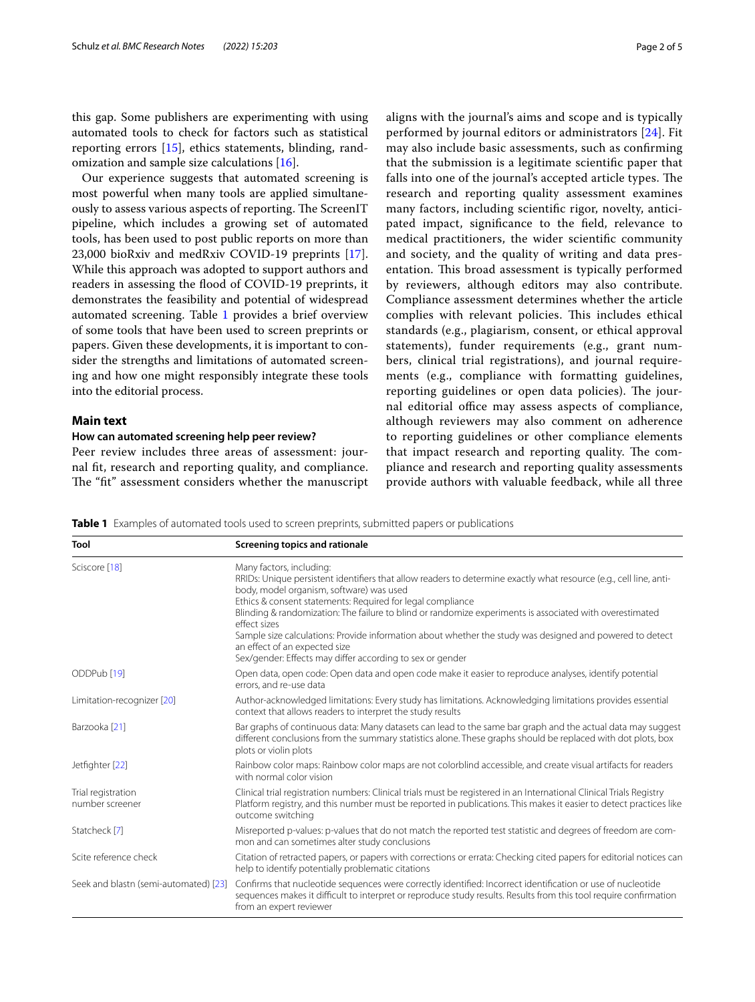this gap. Some publishers are experimenting with using automated tools to check for factors such as statistical reporting errors [[15](#page-4-13)], ethics statements, blinding, randomization and sample size calculations [[16\]](#page-4-14).

Our experience suggests that automated screening is most powerful when many tools are applied simultaneously to assess various aspects of reporting. The ScreenIT pipeline, which includes a growing set of automated tools, has been used to post public reports on more than 23,000 bioRxiv and medRxiv COVID-19 preprints [\[17](#page-4-15)]. While this approach was adopted to support authors and readers in assessing the food of COVID-19 preprints, it demonstrates the feasibility and potential of widespread automated screening. Table [1](#page-1-0) provides a brief overview of some tools that have been used to screen preprints or papers. Given these developments, it is important to consider the strengths and limitations of automated screening and how one might responsibly integrate these tools into the editorial process.

## **Main text**

#### **How can automated screening help peer review?**

Peer review includes three areas of assessment: journal ft, research and reporting quality, and compliance. The "fit" assessment considers whether the manuscript aligns with the journal's aims and scope and is typically performed by journal editors or administrators [[24](#page-4-16)]. Fit may also include basic assessments, such as confrming that the submission is a legitimate scientifc paper that falls into one of the journal's accepted article types. The research and reporting quality assessment examines many factors, including scientifc rigor, novelty, anticipated impact, signifcance to the feld, relevance to medical practitioners, the wider scientifc community and society, and the quality of writing and data presentation. This broad assessment is typically performed by reviewers, although editors may also contribute. Compliance assessment determines whether the article complies with relevant policies. This includes ethical standards (e.g., plagiarism, consent, or ethical approval statements), funder requirements (e.g., grant numbers, clinical trial registrations), and journal requirements (e.g., compliance with formatting guidelines, reporting guidelines or open data policies). The journal editorial office may assess aspects of compliance, although reviewers may also comment on adherence to reporting guidelines or other compliance elements

that impact research and reporting quality. The compliance and research and reporting quality assessments provide authors with valuable feedback, while all three

<span id="page-1-0"></span>**Table 1** Examples of automated tools used to screen preprints, submitted papers or publications

| Tool                                  | Screening topics and rationale                                                                                                                                                                                                                                                                                                                                                                                                                                                                                                                                                                 |
|---------------------------------------|------------------------------------------------------------------------------------------------------------------------------------------------------------------------------------------------------------------------------------------------------------------------------------------------------------------------------------------------------------------------------------------------------------------------------------------------------------------------------------------------------------------------------------------------------------------------------------------------|
| Sciscore [18]                         | Many factors, including:<br>RRIDs: Unique persistent identifiers that allow readers to determine exactly what resource (e.g., cell line, anti-<br>body, model organism, software) was used<br>Ethics & consent statements: Required for legal compliance<br>Blinding & randomization: The failure to blind or randomize experiments is associated with overestimated<br>effect sizes<br>Sample size calculations: Provide information about whether the study was designed and powered to detect<br>an effect of an expected size<br>Sex/gender: Effects may differ according to sex or gender |
| ODDPub <sup>[19]</sup>                | Open data, open code: Open data and open code make it easier to reproduce analyses, identify potential<br>errors, and re-use data                                                                                                                                                                                                                                                                                                                                                                                                                                                              |
| Limitation-recognizer [20]            | Author-acknowledged limitations: Every study has limitations. Acknowledging limitations provides essential<br>context that allows readers to interpret the study results                                                                                                                                                                                                                                                                                                                                                                                                                       |
| Barzooka [21]                         | Bar graphs of continuous data: Many datasets can lead to the same bar graph and the actual data may suggest<br>different conclusions from the summary statistics alone. These graphs should be replaced with dot plots, box<br>plots or violin plots                                                                                                                                                                                                                                                                                                                                           |
| Jetfighter [22]                       | Rainbow color maps: Rainbow color maps are not colorblind accessible, and create visual artifacts for readers<br>with normal color vision                                                                                                                                                                                                                                                                                                                                                                                                                                                      |
| Trial registration<br>number screener | Clinical trial registration numbers: Clinical trials must be registered in an International Clinical Trials Registry<br>Platform registry, and this number must be reported in publications. This makes it easier to detect practices like<br>outcome switching                                                                                                                                                                                                                                                                                                                                |
| Statcheck [7]                         | Misreported p-values: p-values that do not match the reported test statistic and degrees of freedom are com-<br>mon and can sometimes alter study conclusions                                                                                                                                                                                                                                                                                                                                                                                                                                  |
| Scite reference check                 | Citation of retracted papers, or papers with corrections or errata: Checking cited papers for editorial notices can<br>help to identify potentially problematic citations                                                                                                                                                                                                                                                                                                                                                                                                                      |
| Seek and blastn (semi-automated) [23] | Confirms that nucleotide sequences were correctly identified: Incorrect identification or use of nucleotide<br>sequences makes it difficult to interpret or reproduce study results. Results from this tool require confirmation<br>from an expert reviewer                                                                                                                                                                                                                                                                                                                                    |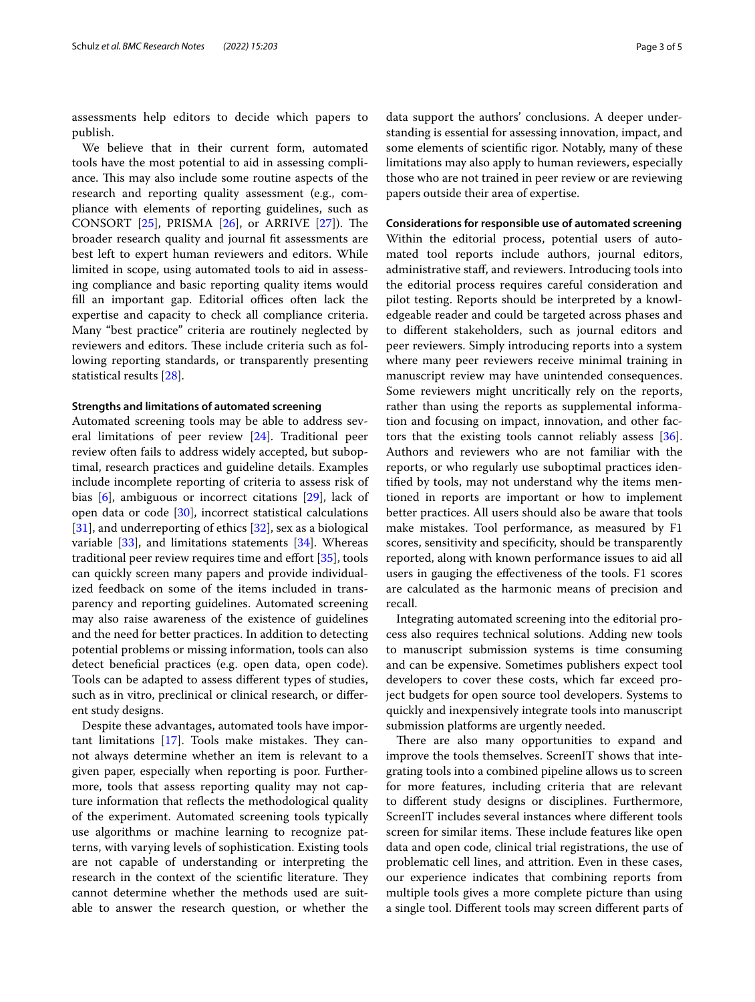assessments help editors to decide which papers to publish.

We believe that in their current form, automated tools have the most potential to aid in assessing compliance. This may also include some routine aspects of the research and reporting quality assessment (e.g., compliance with elements of reporting guidelines, such as CONSORT  $[25]$  $[25]$ , PRISMA  $[26]$  $[26]$ , or ARRIVE  $[27]$ ). The broader research quality and journal ft assessments are best left to expert human reviewers and editors. While limited in scope, using automated tools to aid in assessing compliance and basic reporting quality items would fill an important gap. Editorial offices often lack the expertise and capacity to check all compliance criteria. Many "best practice" criteria are routinely neglected by reviewers and editors. These include criteria such as following reporting standards, or transparently presenting statistical results [\[28](#page-4-26)].

#### **Strengths and limitations of automated screening**

Automated screening tools may be able to address several limitations of peer review [\[24](#page-4-16)]. Traditional peer review often fails to address widely accepted, but suboptimal, research practices and guideline details. Examples include incomplete reporting of criteria to assess risk of bias [\[6](#page-4-4)], ambiguous or incorrect citations [\[29\]](#page-4-27), lack of open data or code [\[30\]](#page-4-28), incorrect statistical calculations [[31\]](#page-4-29), and underreporting of ethics [\[32](#page-4-30)], sex as a biological variable  $[33]$  $[33]$ , and limitations statements  $[34]$  $[34]$ . Whereas traditional peer review requires time and effort [\[35\]](#page-4-33), tools can quickly screen many papers and provide individualized feedback on some of the items included in transparency and reporting guidelines. Automated screening may also raise awareness of the existence of guidelines and the need for better practices. In addition to detecting potential problems or missing information, tools can also detect benefcial practices (e.g. open data, open code). Tools can be adapted to assess diferent types of studies, such as in vitro, preclinical or clinical research, or diferent study designs.

Despite these advantages, automated tools have important limitations  $[17]$ . Tools make mistakes. They cannot always determine whether an item is relevant to a given paper, especially when reporting is poor. Furthermore, tools that assess reporting quality may not capture information that reflects the methodological quality of the experiment. Automated screening tools typically use algorithms or machine learning to recognize patterns, with varying levels of sophistication. Existing tools are not capable of understanding or interpreting the research in the context of the scientific literature. They cannot determine whether the methods used are suitable to answer the research question, or whether the data support the authors' conclusions. A deeper understanding is essential for assessing innovation, impact, and some elements of scientifc rigor. Notably, many of these limitations may also apply to human reviewers, especially those who are not trained in peer review or are reviewing papers outside their area of expertise.

#### **Considerations for responsible use of automated screening**

Within the editorial process, potential users of automated tool reports include authors, journal editors, administrative staf, and reviewers. Introducing tools into the editorial process requires careful consideration and pilot testing. Reports should be interpreted by a knowledgeable reader and could be targeted across phases and to diferent stakeholders, such as journal editors and peer reviewers. Simply introducing reports into a system where many peer reviewers receive minimal training in manuscript review may have unintended consequences. Some reviewers might uncritically rely on the reports, rather than using the reports as supplemental information and focusing on impact, innovation, and other factors that the existing tools cannot reliably assess [\[36](#page-4-34)]. Authors and reviewers who are not familiar with the reports, or who regularly use suboptimal practices identifed by tools, may not understand why the items mentioned in reports are important or how to implement better practices. All users should also be aware that tools make mistakes. Tool performance, as measured by F1 scores, sensitivity and specifcity, should be transparently reported, along with known performance issues to aid all users in gauging the efectiveness of the tools. F1 scores are calculated as the harmonic means of precision and recall.

Integrating automated screening into the editorial process also requires technical solutions. Adding new tools to manuscript submission systems is time consuming and can be expensive. Sometimes publishers expect tool developers to cover these costs, which far exceed project budgets for open source tool developers. Systems to quickly and inexpensively integrate tools into manuscript submission platforms are urgently needed.

There are also many opportunities to expand and improve the tools themselves. ScreenIT shows that integrating tools into a combined pipeline allows us to screen for more features, including criteria that are relevant to diferent study designs or disciplines. Furthermore, ScreenIT includes several instances where diferent tools screen for similar items. These include features like open data and open code, clinical trial registrations, the use of problematic cell lines, and attrition. Even in these cases, our experience indicates that combining reports from multiple tools gives a more complete picture than using a single tool. Diferent tools may screen diferent parts of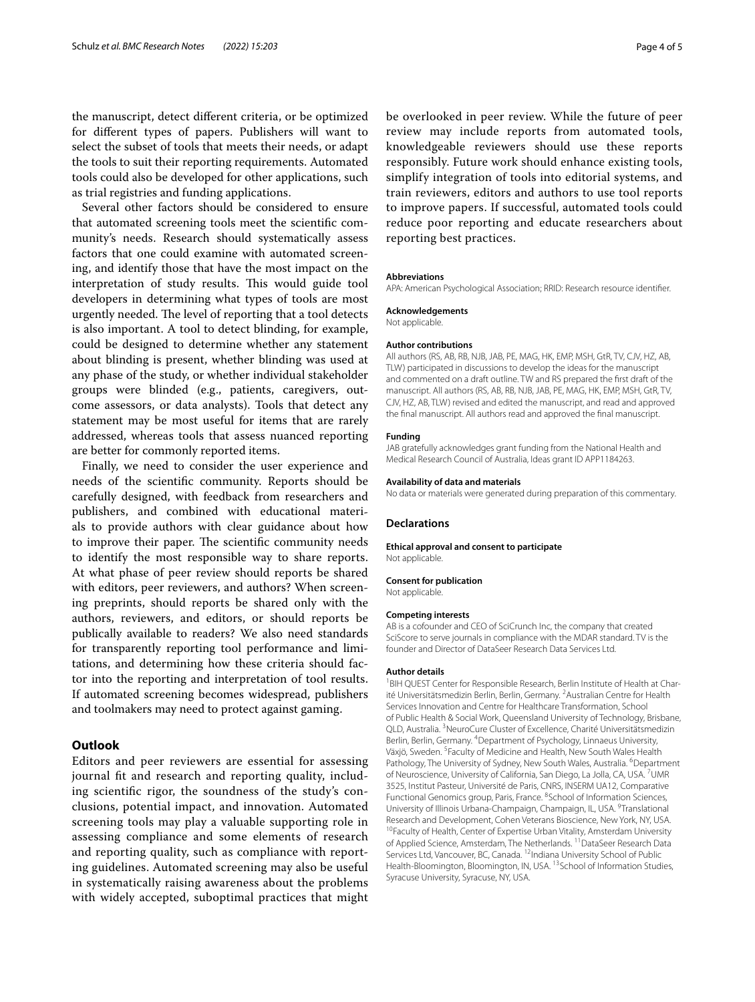the manuscript, detect diferent criteria, or be optimized for diferent types of papers. Publishers will want to select the subset of tools that meets their needs, or adapt the tools to suit their reporting requirements. Automated tools could also be developed for other applications, such as trial registries and funding applications.

Several other factors should be considered to ensure that automated screening tools meet the scientifc community's needs. Research should systematically assess factors that one could examine with automated screening, and identify those that have the most impact on the interpretation of study results. This would guide tool developers in determining what types of tools are most urgently needed. The level of reporting that a tool detects is also important. A tool to detect blinding, for example, could be designed to determine whether any statement about blinding is present, whether blinding was used at any phase of the study, or whether individual stakeholder groups were blinded (e.g., patients, caregivers, outcome assessors, or data analysts). Tools that detect any statement may be most useful for items that are rarely addressed, whereas tools that assess nuanced reporting are better for commonly reported items.

Finally, we need to consider the user experience and needs of the scientifc community. Reports should be carefully designed, with feedback from researchers and publishers, and combined with educational materials to provide authors with clear guidance about how to improve their paper. The scientific community needs to identify the most responsible way to share reports. At what phase of peer review should reports be shared with editors, peer reviewers, and authors? When screening preprints, should reports be shared only with the authors, reviewers, and editors, or should reports be publically available to readers? We also need standards for transparently reporting tool performance and limitations, and determining how these criteria should factor into the reporting and interpretation of tool results. If automated screening becomes widespread, publishers and toolmakers may need to protect against gaming.

## **Outlook**

Editors and peer reviewers are essential for assessing journal ft and research and reporting quality, including scientifc rigor, the soundness of the study's conclusions, potential impact, and innovation. Automated screening tools may play a valuable supporting role in assessing compliance and some elements of research and reporting quality, such as compliance with reporting guidelines. Automated screening may also be useful in systematically raising awareness about the problems with widely accepted, suboptimal practices that might be overlooked in peer review. While the future of peer review may include reports from automated tools, knowledgeable reviewers should use these reports responsibly. Future work should enhance existing tools, simplify integration of tools into editorial systems, and train reviewers, editors and authors to use tool reports to improve papers. If successful, automated tools could reduce poor reporting and educate researchers about reporting best practices.

#### **Abbreviations**

APA: American Psychological Association; RRID: Research resource identifer.

#### **Acknowledgements**

Not applicable.

#### **Author contributions**

All authors (RS, AB, RB, NJB, JAB, PE, MAG, HK, EMP, MSH, GtR, TV, CJV, HZ, AB, TLW) participated in discussions to develop the ideas for the manuscript and commented on a draft outline. TW and RS prepared the frst draft of the manuscript. All authors (RS, AB, RB, NJB, JAB, PE, MAG, HK, EMP, MSH, GtR, TV, CJV, HZ, AB, TLW) revised and edited the manuscript, and read and approved the fnal manuscript. All authors read and approved the fnal manuscript.

#### **Funding**

JAB gratefully acknowledges grant funding from the National Health and Medical Research Council of Australia, Ideas grant ID APP1184263.

#### **Availability of data and materials**

No data or materials were generated during preparation of this commentary.

#### **Declarations**

**Ethical approval and consent to participate** Not applicable.

#### **Consent for publication**

Not applicable.

#### **Competing interests**

AB is a cofounder and CEO of SciCrunch Inc, the company that created SciScore to serve journals in compliance with the MDAR standard. TV is the founder and Director of DataSeer Research Data Services Ltd.

#### **Author details**

<sup>1</sup> BIH QUEST Center for Responsible Research, Berlin Institute of Health at Charité Universitätsmedizin Berlin, Berlin, Germany. <sup>2</sup> Australian Centre for Health Services Innovation and Centre for Healthcare Transformation, School of Public Health & Social Work, Queensland University of Technology, Brisbane, QLD, Australia. <sup>3</sup> NeuroCure Cluster of Excellence, Charité Universitätsmedizin Berlin, Berlin, Germany. 4 Department of Psychology, Linnaeus University, Växjö, Sweden. <sup>5</sup> Faculty of Medicine and Health, New South Wales Health Pathology, The University of Sydney, New South Wales, Australia. <sup>6</sup>Department of Neuroscience, University of California, San Diego, La Jolla, CA, USA. <sup>7</sup>UMR 3525, Institut Pasteur, Université de Paris, CNRS, INSERM UA12, Comparative Functional Genomics group, Paris, France. <sup>8</sup>School of Information Sciences, University of Illinois Urbana-Champaign, Champaign, IL, USA. <sup>9</sup>Translational Research and Development, Cohen Veterans Bioscience, New York, NY, USA.<br><sup>10</sup>Faculty of Health, Center of Expertise Urban Vitality, Amsterdam University of Applied Science, Amsterdam, The Netherlands. <sup>11</sup>DataSeer Research Data Services Ltd, Vancouver, BC, Canada. <sup>12</sup>Indiana University School of Public Health-Bloomington, Bloomington, IN, USA. <sup>13</sup> School of Information Studies, Syracuse University, Syracuse, NY, USA.